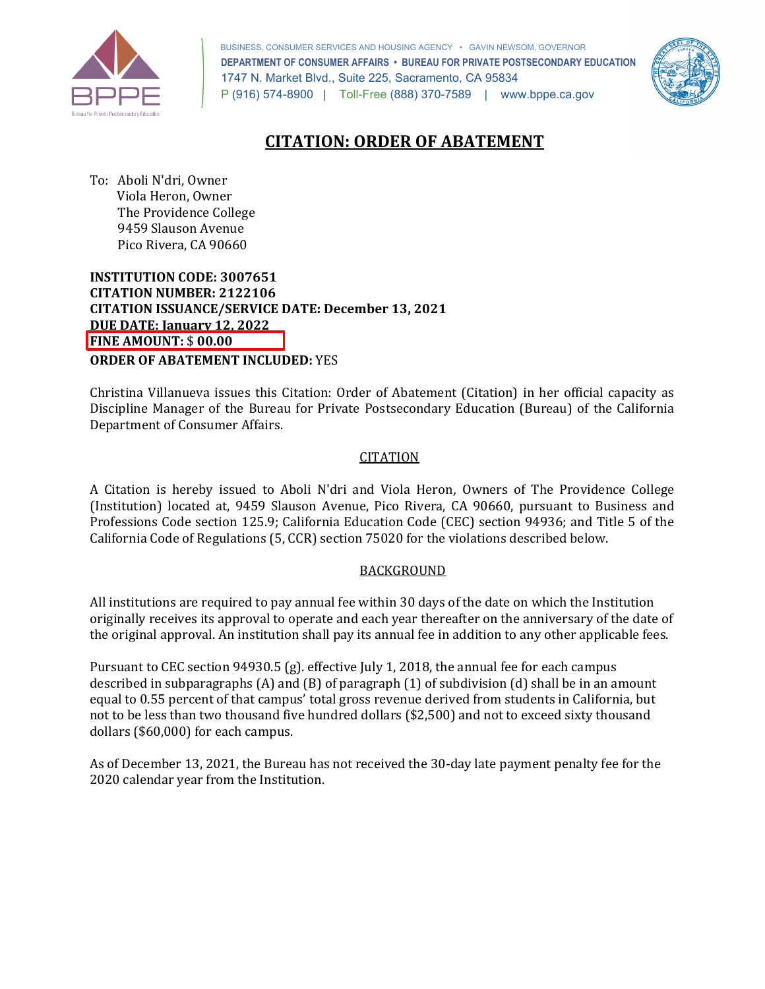

 BUSINESS, CONSUMER SERVICES AND HOUSING AGENCY • GAVIN NEWSOM, GOVERNOR  **DEPARTMENT OF CONSUMER AFFAIRS • BUREAU FOR PRIVATE POSTSECONDARY EDUCATION**  1747 N. Market Blvd., Suite 225, Sacramento, CA 95834 P (916) 574-8900 | Toll-Free (888) 370-7589 | <www.bppe.ca.gov>



# **CITATION: ORDER OF ABATEMENT**

 To: Aboli N'dri, Owner The Providence College Viola Heron, Owner 9459 Slauson Avenue Pico Rivera, CA 90660

 **INSTITUTION CODE: 3007651 CITATION ISSUANCE/SERVICE DATE: December 13, 2021 CITATION NUMBER: 2122106 DUE DATE: January 12, 2022 FINE AMOUNT:** \$ **00.00** 

**ORDER OF ABATEMENT INCLUDED:** YES

 Christina Villanueva issues this Citation: Order of Abatement (Citation) in her official capacity as Department of Consumer Affairs. Discipline Manager of the Bureau for Private Postsecondary Education (Bureau) of the California

#### CITATION

 A Citation is hereby issued to Aboli N'dri and Viola Heron, Owners of The Providence College (Institution) located at, 9459 Slauson Avenue, Pico Rivera, CA 90660, pursuant to Business and Professions Code section 125.9; California Education Code (CEC) section 94936; and Title 5 of the California Code of Regulations (5, CCR) section 75020 for the violations described below.

### BACKGROUND

 All institutions are required to pay annual fee within 30 days of the date on which the Institution originally receives its approval to operate and each year thereafter on the anniversary of the date of the original approval. An institution shall pay its annual fee in addition to any other applicable fees.

 Pursuant to CEC section 94930.5 (g). effective July 1, 2018, the annual fee for each campus described in subparagraphs (A) and (B) of paragraph (1) of subdivision (d) shall be in an amount equal to 0.55 percent of that campus' total gross revenue derived from students in California, but not to be less than two thousand five hundred dollars (\$2,500) and not to exceed sixty thousand dollars (\$60,000) for each campus.

 As of December 13, 2021, the Bureau has not received the 30-day late payment penalty fee for the 2020 calendar year from the Institution.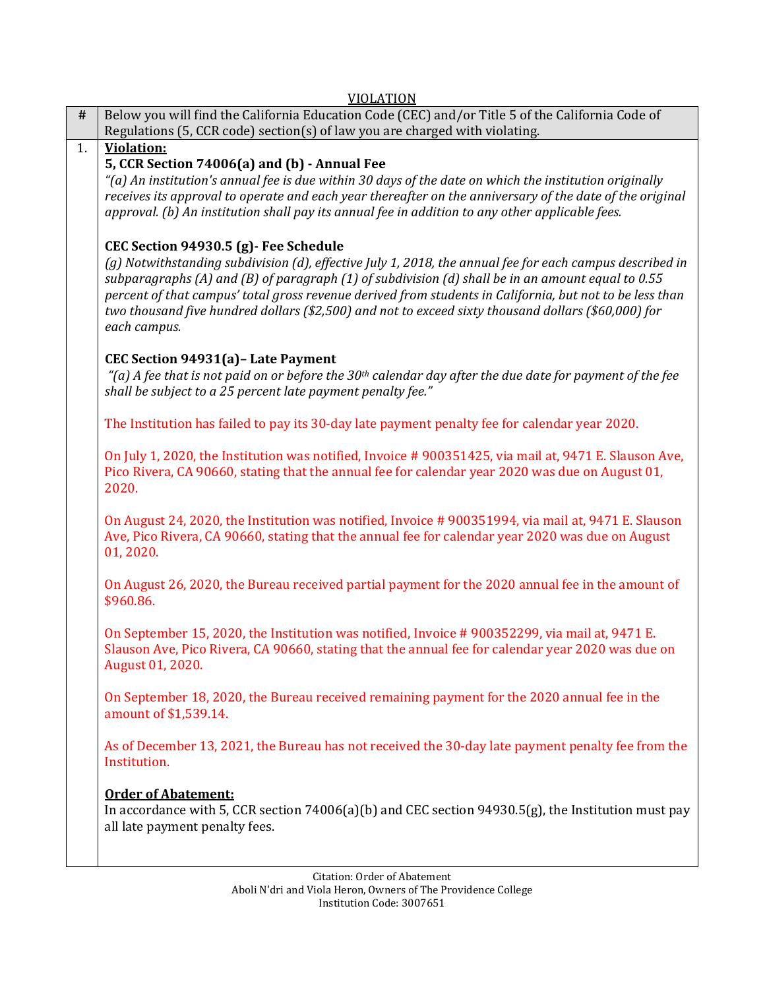|      | <b>VIOLATION</b>                                                                                                                                                                                                                                                                                                                                                                                                                                                                           |
|------|--------------------------------------------------------------------------------------------------------------------------------------------------------------------------------------------------------------------------------------------------------------------------------------------------------------------------------------------------------------------------------------------------------------------------------------------------------------------------------------------|
| $\#$ | Below you will find the California Education Code (CEC) and/or Title 5 of the California Code of<br>Regulations (5, CCR code) section(s) of law you are charged with violating.                                                                                                                                                                                                                                                                                                            |
| 1.   | Violation:                                                                                                                                                                                                                                                                                                                                                                                                                                                                                 |
|      | 5, CCR Section 74006(a) and (b) - Annual Fee<br>$\lq$ (a) An institution's annual fee is due within 30 days of the date on which the institution originally<br>receives its approval to operate and each year thereafter on the anniversary of the date of the original<br>approval. (b) An institution shall pay its annual fee in addition to any other applicable fees.                                                                                                                 |
|      | CEC Section 94930.5 (g) - Fee Schedule<br>(g) Notwithstanding subdivision (d), effective July 1, 2018, the annual fee for each campus described in<br>subparagraphs (A) and (B) of paragraph (1) of subdivision (d) shall be in an amount equal to 0.55<br>percent of that campus' total gross revenue derived from students in California, but not to be less than<br>two thousand five hundred dollars (\$2,500) and not to exceed sixty thousand dollars (\$60,000) for<br>each campus. |
|      | CEC Section 94931(a) - Late Payment<br>"(a) A fee that is not paid on or before the 30 <sup>th</sup> calendar day after the due date for payment of the fee<br>shall be subject to a 25 percent late payment penalty fee."                                                                                                                                                                                                                                                                 |
|      | The Institution has failed to pay its 30-day late payment penalty fee for calendar year 2020.                                                                                                                                                                                                                                                                                                                                                                                              |
|      | On July 1, 2020, the Institution was notified, Invoice #900351425, via mail at, 9471 E. Slauson Ave,<br>Pico Rivera, CA 90660, stating that the annual fee for calendar year 2020 was due on August 01,<br>2020.                                                                                                                                                                                                                                                                           |
|      | On August 24, 2020, the Institution was notified, Invoice #900351994, via mail at, 9471 E. Slauson<br>Ave, Pico Rivera, CA 90660, stating that the annual fee for calendar year 2020 was due on August<br>01, 2020.                                                                                                                                                                                                                                                                        |
|      | On August 26, 2020, the Bureau received partial payment for the 2020 annual fee in the amount of<br>\$960.86.                                                                                                                                                                                                                                                                                                                                                                              |
|      | On September 15, 2020, the Institution was notified, Invoice # 900352299, via mail at, 9471 E.<br>Slauson Ave, Pico Rivera, CA 90660, stating that the annual fee for calendar year 2020 was due on<br>August 01, 2020.                                                                                                                                                                                                                                                                    |
|      | On September 18, 2020, the Bureau received remaining payment for the 2020 annual fee in the<br>amount of \$1,539.14.                                                                                                                                                                                                                                                                                                                                                                       |
|      | As of December 13, 2021, the Bureau has not received the 30-day late payment penalty fee from the<br>Institution.                                                                                                                                                                                                                                                                                                                                                                          |
|      | <b>Order of Abatement:</b><br>In accordance with 5, CCR section 74006(a)(b) and CEC section 94930.5(g), the Institution must pay<br>all late payment penalty fees.                                                                                                                                                                                                                                                                                                                         |
|      |                                                                                                                                                                                                                                                                                                                                                                                                                                                                                            |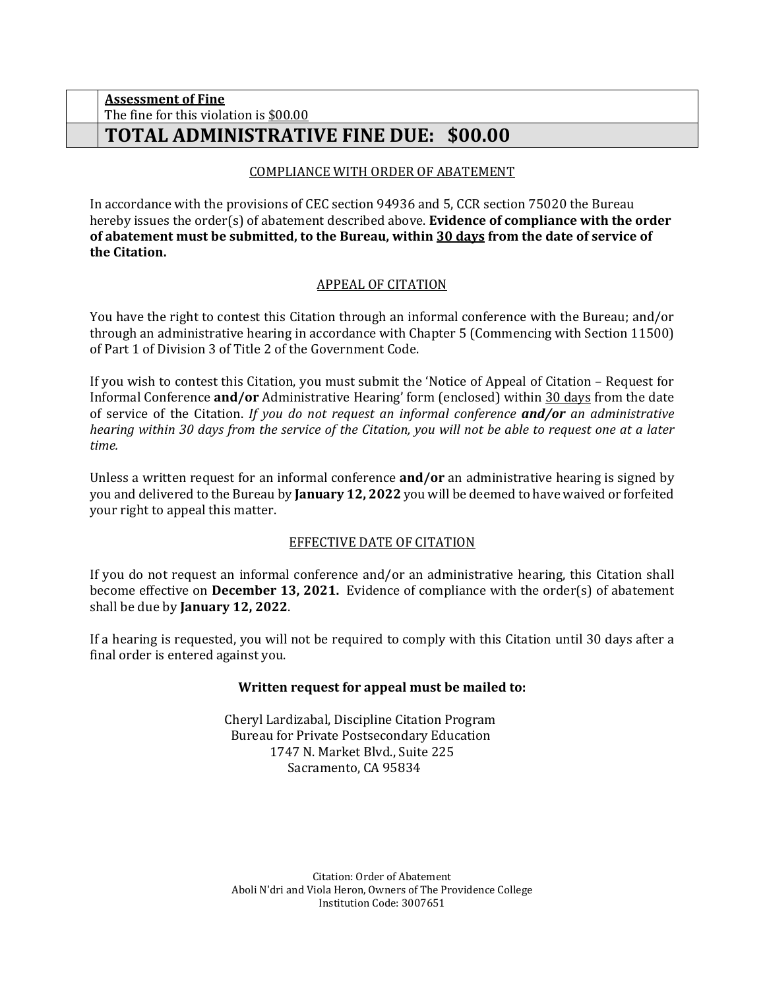### The fine for this violation is <u>\$00.00</u> **Assessment of Fine TOTAL ADMINISTRATIVE FINE DUE: \$00.00**

## COMPLIANCE WITH ORDER OF ABATEMENT

 In accordance with the provisions of CEC section 94936 and 5, CCR section 75020 the Bureau hereby issues the order(s) of abatement described above. **Evidence of compliance with the order of abatement must be submitted, to the Bureau, within 30 days from the date of service of the Citation.** 

### APPEAL OF CITATION

 You have the right to contest this Citation through an informal conference with the Bureau; and/or through an administrative hearing in accordance with Chapter 5 (Commencing with Section 11500) of Part 1 of Division 3 of Title 2 of the Government Code.

 If you wish to contest this Citation, you must submit the 'Notice of Appeal of Citation – Request for  *hearing within 30 days from the service of the Citation, you will not be able to request one at a later*  Informal Conference **and/or** Administrative Hearing' form (enclosed) within 30 days from the date of service of the Citation. *If you do not request an informal conference and/or an administrative time.* 

 Unless a written request for an informal conference **and/or** an administrative hearing is signed by you and delivered to the Bureau by **January 12, 2022** you will be deemed to have waived or forfeited your right to appeal this matter.

### EFFECTIVE DATE OF CITATION

 If you do not request an informal conference and/or an administrative hearing, this Citation shall shall be due by **January 12, 2022**. become effective on **December 13, 2021.** Evidence of compliance with the order(s) of abatement

 If a hearing is requested, you will not be required to comply with this Citation until 30 days after a final order is entered against you.

### **Written request for appeal must be mailed to:**

 1747 N. Market Blvd., Suite 225 Cheryl Lardizabal, Discipline Citation Program Bureau for Private Postsecondary Education Sacramento, CA 95834

 Aboli N'dri and Viola Heron, Owners of The Providence College Citation: Order of Abatement Institution Code: 3007651